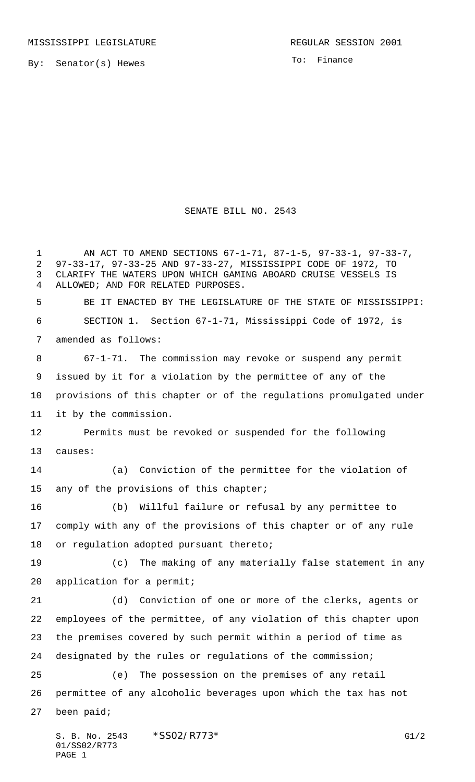By: Senator(s) Hewes

01/SS02/R773

PAGE 1

To: Finance

## SENATE BILL NO. 2543

S. B. No. 2543  $*SSO2/RT73*$  G1/2 AN ACT TO AMEND SECTIONS 67-1-71, 87-1-5, 97-33-1, 97-33-7, 97-33-17, 97-33-25 AND 97-33-27, MISSISSIPPI CODE OF 1972, TO CLARIFY THE WATERS UPON WHICH GAMING ABOARD CRUISE VESSELS IS ALLOWED; AND FOR RELATED PURPOSES. BE IT ENACTED BY THE LEGISLATURE OF THE STATE OF MISSISSIPPI: SECTION 1. Section 67-1-71, Mississippi Code of 1972, is amended as follows: 67-1-71. The commission may revoke or suspend any permit issued by it for a violation by the permittee of any of the provisions of this chapter or of the regulations promulgated under it by the commission. Permits must be revoked or suspended for the following causes: (a) Conviction of the permittee for the violation of 15 any of the provisions of this chapter; (b) Willful failure or refusal by any permittee to comply with any of the provisions of this chapter or of any rule 18 or regulation adopted pursuant thereto; (c) The making of any materially false statement in any application for a permit; (d) Conviction of one or more of the clerks, agents or employees of the permittee, of any violation of this chapter upon the premises covered by such permit within a period of time as designated by the rules or regulations of the commission; (e) The possession on the premises of any retail permittee of any alcoholic beverages upon which the tax has not been paid;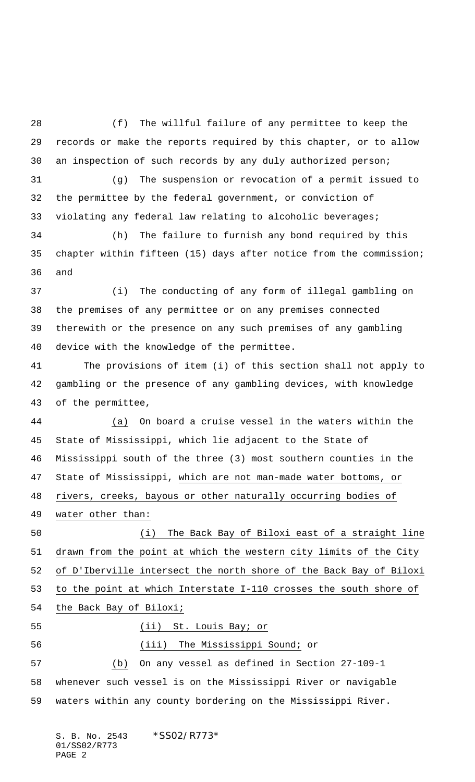(f) The willful failure of any permittee to keep the records or make the reports required by this chapter, or to allow an inspection of such records by any duly authorized person;

 (g) The suspension or revocation of a permit issued to the permittee by the federal government, or conviction of violating any federal law relating to alcoholic beverages;

 (h) The failure to furnish any bond required by this chapter within fifteen (15) days after notice from the commission; and

 (i) The conducting of any form of illegal gambling on the premises of any permittee or on any premises connected therewith or the presence on any such premises of any gambling device with the knowledge of the permittee.

 The provisions of item (i) of this section shall not apply to gambling or the presence of any gambling devices, with knowledge of the permittee,

 (a) On board a cruise vessel in the waters within the State of Mississippi, which lie adjacent to the State of Mississippi south of the three (3) most southern counties in the State of Mississippi, which are not man-made water bottoms, or rivers, creeks, bayous or other naturally occurring bodies of water other than:

 (i) The Back Bay of Biloxi east of a straight line drawn from the point at which the western city limits of the City of D'Iberville intersect the north shore of the Back Bay of Biloxi to the point at which Interstate I-110 crosses the south shore of the Back Bay of Biloxi; (ii) St. Louis Bay; or

(iii) The Mississippi Sound; or

 (b) On any vessel as defined in Section 27-109-1 whenever such vessel is on the Mississippi River or navigable waters within any county bordering on the Mississippi River.

S. B. No. 2543 \*SS02/R773\* 01/SS02/R773 PAGE 2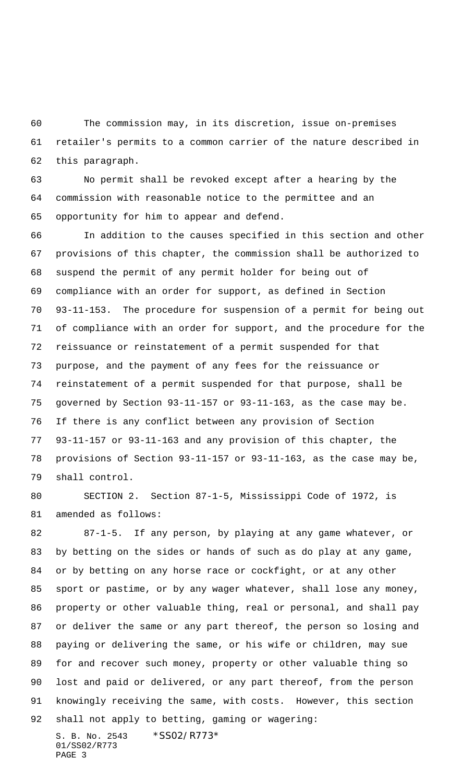The commission may, in its discretion, issue on-premises retailer's permits to a common carrier of the nature described in this paragraph.

 No permit shall be revoked except after a hearing by the commission with reasonable notice to the permittee and an opportunity for him to appear and defend.

 In addition to the causes specified in this section and other provisions of this chapter, the commission shall be authorized to suspend the permit of any permit holder for being out of compliance with an order for support, as defined in Section 93-11-153. The procedure for suspension of a permit for being out of compliance with an order for support, and the procedure for the reissuance or reinstatement of a permit suspended for that purpose, and the payment of any fees for the reissuance or reinstatement of a permit suspended for that purpose, shall be governed by Section 93-11-157 or 93-11-163, as the case may be. If there is any conflict between any provision of Section 93-11-157 or 93-11-163 and any provision of this chapter, the provisions of Section 93-11-157 or 93-11-163, as the case may be, shall control.

 SECTION 2. Section 87-1-5, Mississippi Code of 1972, is amended as follows:

S. B. No. 2543 \* SS02/R773\* 87-1-5. If any person, by playing at any game whatever, or by betting on the sides or hands of such as do play at any game, or by betting on any horse race or cockfight, or at any other sport or pastime, or by any wager whatever, shall lose any money, property or other valuable thing, real or personal, and shall pay or deliver the same or any part thereof, the person so losing and paying or delivering the same, or his wife or children, may sue for and recover such money, property or other valuable thing so lost and paid or delivered, or any part thereof, from the person knowingly receiving the same, with costs. However, this section shall not apply to betting, gaming or wagering:

01/SS02/R773 PAGE 3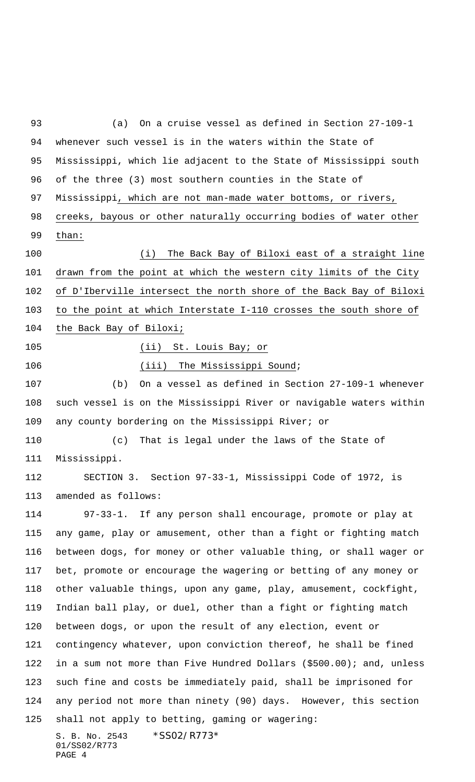S. B. No. 2543 \*SS02/R773\* 01/SS02/R773 (a) On a cruise vessel as defined in Section 27-109-1 whenever such vessel is in the waters within the State of Mississippi, which lie adjacent to the State of Mississippi south of the three (3) most southern counties in the State of Mississippi, which are not man-made water bottoms, or rivers, creeks, bayous or other naturally occurring bodies of water other than: (i) The Back Bay of Biloxi east of a straight line drawn from the point at which the western city limits of the City 102 of D'Iberville intersect the north shore of the Back Bay of Biloxi to the point at which Interstate I-110 crosses the south shore of the Back Bay of Biloxi; (ii) St. Louis Bay; or 106 (iii) The Mississippi Sound; (b) On a vessel as defined in Section 27-109-1 whenever such vessel is on the Mississippi River or navigable waters within any county bordering on the Mississippi River; or (c) That is legal under the laws of the State of Mississippi. SECTION 3. Section 97-33-1, Mississippi Code of 1972, is amended as follows: 97-33-1. If any person shall encourage, promote or play at any game, play or amusement, other than a fight or fighting match between dogs, for money or other valuable thing, or shall wager or bet, promote or encourage the wagering or betting of any money or other valuable things, upon any game, play, amusement, cockfight, Indian ball play, or duel, other than a fight or fighting match between dogs, or upon the result of any election, event or contingency whatever, upon conviction thereof, he shall be fined in a sum not more than Five Hundred Dollars (\$500.00); and, unless such fine and costs be immediately paid, shall be imprisoned for any period not more than ninety (90) days. However, this section shall not apply to betting, gaming or wagering:

PAGE 4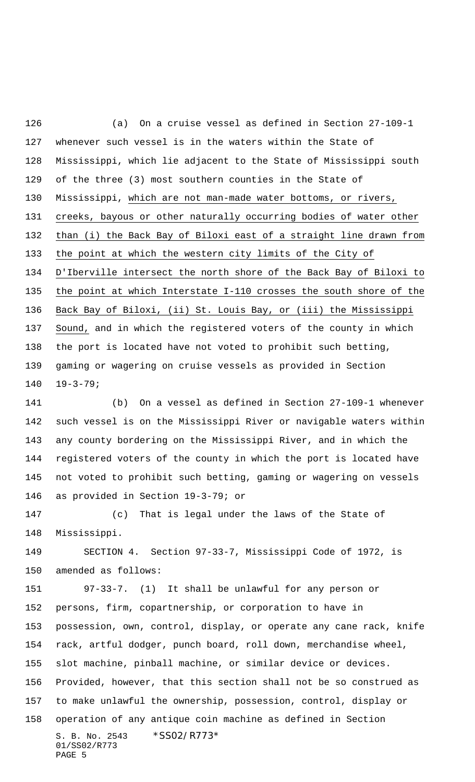(a) On a cruise vessel as defined in Section 27-109-1 whenever such vessel is in the waters within the State of Mississippi, which lie adjacent to the State of Mississippi south of the three (3) most southern counties in the State of Mississippi, which are not man-made water bottoms, or rivers, creeks, bayous or other naturally occurring bodies of water other than (i) the Back Bay of Biloxi east of a straight line drawn from the point at which the western city limits of the City of D'Iberville intersect the north shore of the Back Bay of Biloxi to the point at which Interstate I-110 crosses the south shore of the Back Bay of Biloxi, (ii) St. Louis Bay, or (iii) the Mississippi Sound, and in which the registered voters of the county in which the port is located have not voted to prohibit such betting, gaming or wagering on cruise vessels as provided in Section 19-3-79; (b) On a vessel as defined in Section 27-109-1 whenever

 such vessel is on the Mississippi River or navigable waters within any county bordering on the Mississippi River, and in which the registered voters of the county in which the port is located have not voted to prohibit such betting, gaming or wagering on vessels as provided in Section 19-3-79; or

 (c) That is legal under the laws of the State of Mississippi.

 SECTION 4. Section 97-33-7, Mississippi Code of 1972, is amended as follows:

S. B. No. 2543 \*SS02/R773\* 01/SS02/R773 PAGE 5 97-33-7. (1) It shall be unlawful for any person or persons, firm, copartnership, or corporation to have in possession, own, control, display, or operate any cane rack, knife rack, artful dodger, punch board, roll down, merchandise wheel, slot machine, pinball machine, or similar device or devices. Provided, however, that this section shall not be so construed as to make unlawful the ownership, possession, control, display or operation of any antique coin machine as defined in Section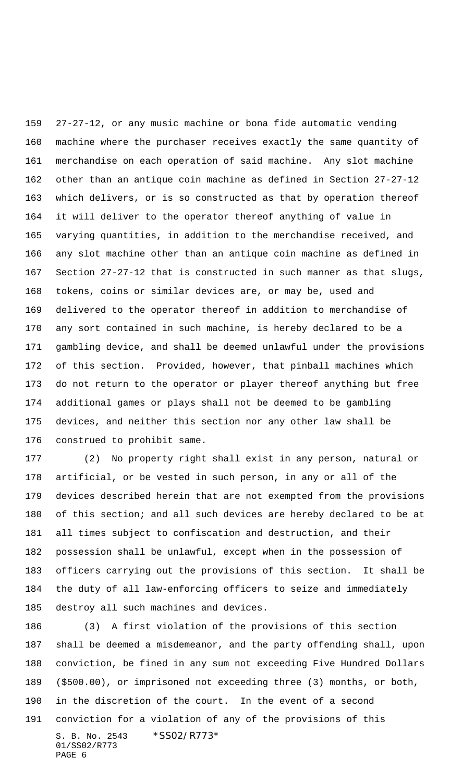27-27-12, or any music machine or bona fide automatic vending machine where the purchaser receives exactly the same quantity of merchandise on each operation of said machine. Any slot machine other than an antique coin machine as defined in Section 27-27-12 which delivers, or is so constructed as that by operation thereof it will deliver to the operator thereof anything of value in varying quantities, in addition to the merchandise received, and any slot machine other than an antique coin machine as defined in Section 27-27-12 that is constructed in such manner as that slugs, tokens, coins or similar devices are, or may be, used and delivered to the operator thereof in addition to merchandise of any sort contained in such machine, is hereby declared to be a gambling device, and shall be deemed unlawful under the provisions of this section. Provided, however, that pinball machines which do not return to the operator or player thereof anything but free additional games or plays shall not be deemed to be gambling devices, and neither this section nor any other law shall be construed to prohibit same.

 (2) No property right shall exist in any person, natural or artificial, or be vested in such person, in any or all of the devices described herein that are not exempted from the provisions 180 of this section; and all such devices are hereby declared to be at all times subject to confiscation and destruction, and their possession shall be unlawful, except when in the possession of officers carrying out the provisions of this section. It shall be the duty of all law-enforcing officers to seize and immediately destroy all such machines and devices.

S. B. No. 2543 \*SS02/R773\* 01/SS02/R773 PAGE 6 (3) A first violation of the provisions of this section shall be deemed a misdemeanor, and the party offending shall, upon conviction, be fined in any sum not exceeding Five Hundred Dollars (\$500.00), or imprisoned not exceeding three (3) months, or both, in the discretion of the court. In the event of a second conviction for a violation of any of the provisions of this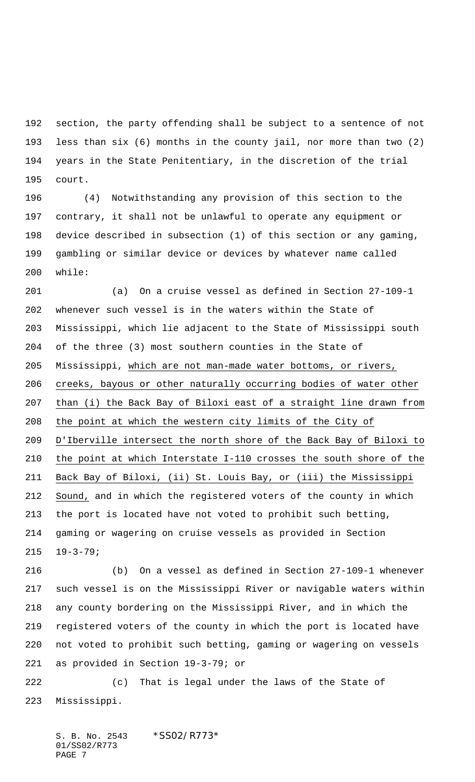section, the party offending shall be subject to a sentence of not less than six (6) months in the county jail, nor more than two (2) years in the State Penitentiary, in the discretion of the trial court.

 (4) Notwithstanding any provision of this section to the contrary, it shall not be unlawful to operate any equipment or device described in subsection (1) of this section or any gaming, gambling or similar device or devices by whatever name called while:

 (a) On a cruise vessel as defined in Section 27-109-1 whenever such vessel is in the waters within the State of Mississippi, which lie adjacent to the State of Mississippi south of the three (3) most southern counties in the State of Mississippi, which are not man-made water bottoms, or rivers, creeks, bayous or other naturally occurring bodies of water other than (i) the Back Bay of Biloxi east of a straight line drawn from the point at which the western city limits of the City of D'Iberville intersect the north shore of the Back Bay of Biloxi to the point at which Interstate I-110 crosses the south shore of the Back Bay of Biloxi, (ii) St. Louis Bay, or (iii) the Mississippi Sound, and in which the registered voters of the county in which the port is located have not voted to prohibit such betting, gaming or wagering on cruise vessels as provided in Section 19-3-79;

 (b) On a vessel as defined in Section 27-109-1 whenever such vessel is on the Mississippi River or navigable waters within any county bordering on the Mississippi River, and in which the registered voters of the county in which the port is located have not voted to prohibit such betting, gaming or wagering on vessels as provided in Section 19-3-79; or

 (c) That is legal under the laws of the State of Mississippi.

S. B. No. 2543 \* SS02/R773\* 01/SS02/R773 PAGE 7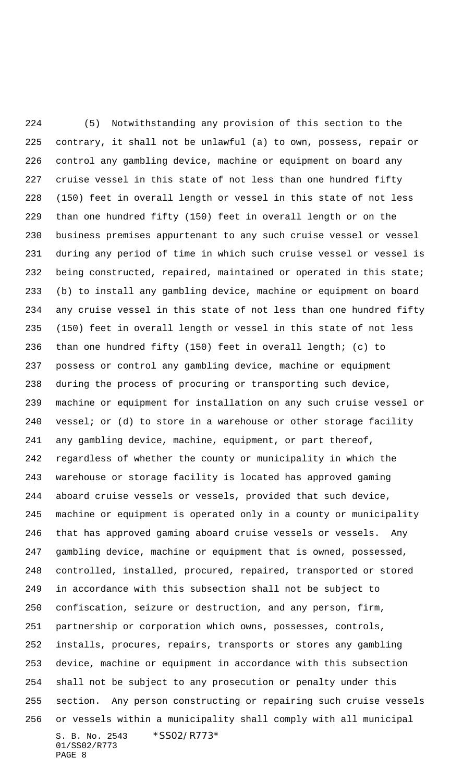S. B. No. 2543 \* SS02/R773\* 01/SS02/R773 PAGE 8 (5) Notwithstanding any provision of this section to the contrary, it shall not be unlawful (a) to own, possess, repair or control any gambling device, machine or equipment on board any cruise vessel in this state of not less than one hundred fifty (150) feet in overall length or vessel in this state of not less than one hundred fifty (150) feet in overall length or on the business premises appurtenant to any such cruise vessel or vessel during any period of time in which such cruise vessel or vessel is being constructed, repaired, maintained or operated in this state; (b) to install any gambling device, machine or equipment on board any cruise vessel in this state of not less than one hundred fifty (150) feet in overall length or vessel in this state of not less than one hundred fifty (150) feet in overall length; (c) to possess or control any gambling device, machine or equipment during the process of procuring or transporting such device, machine or equipment for installation on any such cruise vessel or 240 vessel; or  $(d)$  to store in a warehouse or other storage facility any gambling device, machine, equipment, or part thereof, regardless of whether the county or municipality in which the warehouse or storage facility is located has approved gaming aboard cruise vessels or vessels, provided that such device, machine or equipment is operated only in a county or municipality that has approved gaming aboard cruise vessels or vessels. Any gambling device, machine or equipment that is owned, possessed, controlled, installed, procured, repaired, transported or stored in accordance with this subsection shall not be subject to confiscation, seizure or destruction, and any person, firm, partnership or corporation which owns, possesses, controls, installs, procures, repairs, transports or stores any gambling device, machine or equipment in accordance with this subsection shall not be subject to any prosecution or penalty under this section. Any person constructing or repairing such cruise vessels or vessels within a municipality shall comply with all municipal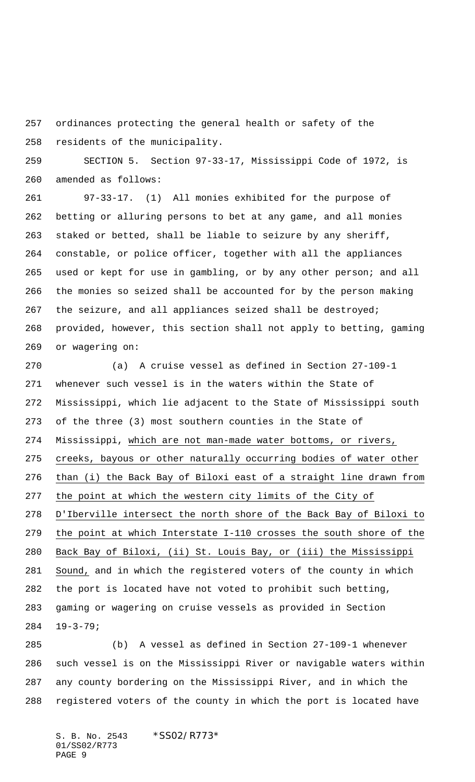ordinances protecting the general health or safety of the residents of the municipality.

 SECTION 5. Section 97-33-17, Mississippi Code of 1972, is amended as follows:

 97-33-17. (1) All monies exhibited for the purpose of betting or alluring persons to bet at any game, and all monies staked or betted, shall be liable to seizure by any sheriff, constable, or police officer, together with all the appliances used or kept for use in gambling, or by any other person; and all the monies so seized shall be accounted for by the person making 267 the seizure, and all appliances seized shall be destroyed; provided, however, this section shall not apply to betting, gaming or wagering on:

 (a) A cruise vessel as defined in Section 27-109-1 whenever such vessel is in the waters within the State of Mississippi, which lie adjacent to the State of Mississippi south of the three (3) most southern counties in the State of Mississippi, which are not man-made water bottoms, or rivers, creeks, bayous or other naturally occurring bodies of water other than (i) the Back Bay of Biloxi east of a straight line drawn from the point at which the western city limits of the City of D'Iberville intersect the north shore of the Back Bay of Biloxi to the point at which Interstate I-110 crosses the south shore of the Back Bay of Biloxi, (ii) St. Louis Bay, or (iii) the Mississippi Sound, and in which the registered voters of the county in which the port is located have not voted to prohibit such betting, gaming or wagering on cruise vessels as provided in Section 19-3-79;

 (b) A vessel as defined in Section 27-109-1 whenever such vessel is on the Mississippi River or navigable waters within any county bordering on the Mississippi River, and in which the registered voters of the county in which the port is located have

S. B. No. 2543 \* SS02/R773\* 01/SS02/R773 PAGE 9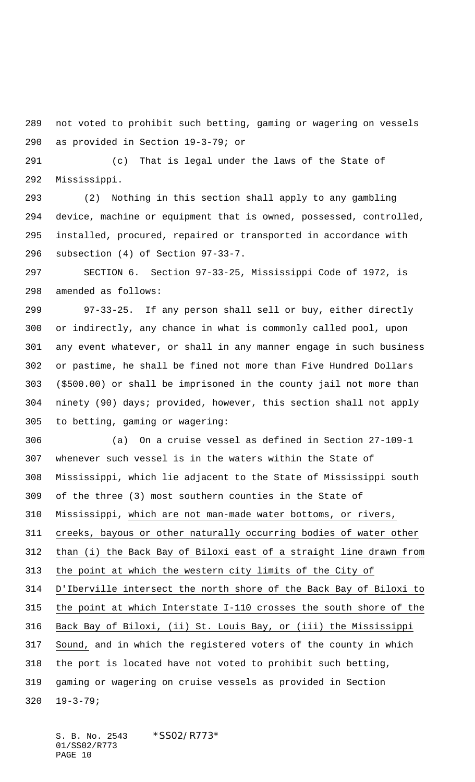not voted to prohibit such betting, gaming or wagering on vessels as provided in Section 19-3-79; or

 (c) That is legal under the laws of the State of Mississippi.

 (2) Nothing in this section shall apply to any gambling device, machine or equipment that is owned, possessed, controlled, installed, procured, repaired or transported in accordance with subsection (4) of Section 97-33-7.

 SECTION 6. Section 97-33-25, Mississippi Code of 1972, is amended as follows:

 97-33-25. If any person shall sell or buy, either directly or indirectly, any chance in what is commonly called pool, upon any event whatever, or shall in any manner engage in such business or pastime, he shall be fined not more than Five Hundred Dollars (\$500.00) or shall be imprisoned in the county jail not more than ninety (90) days; provided, however, this section shall not apply to betting, gaming or wagering:

 (a) On a cruise vessel as defined in Section 27-109-1 whenever such vessel is in the waters within the State of Mississippi, which lie adjacent to the State of Mississippi south of the three (3) most southern counties in the State of Mississippi, which are not man-made water bottoms, or rivers, creeks, bayous or other naturally occurring bodies of water other than (i) the Back Bay of Biloxi east of a straight line drawn from 313 the point at which the western city limits of the City of D'Iberville intersect the north shore of the Back Bay of Biloxi to the point at which Interstate I-110 crosses the south shore of the Back Bay of Biloxi, (ii) St. Louis Bay, or (iii) the Mississippi Sound, and in which the registered voters of the county in which the port is located have not voted to prohibit such betting, gaming or wagering on cruise vessels as provided in Section 19-3-79;

S. B. No. 2543 \* SS02/R773\* 01/SS02/R773 PAGE 10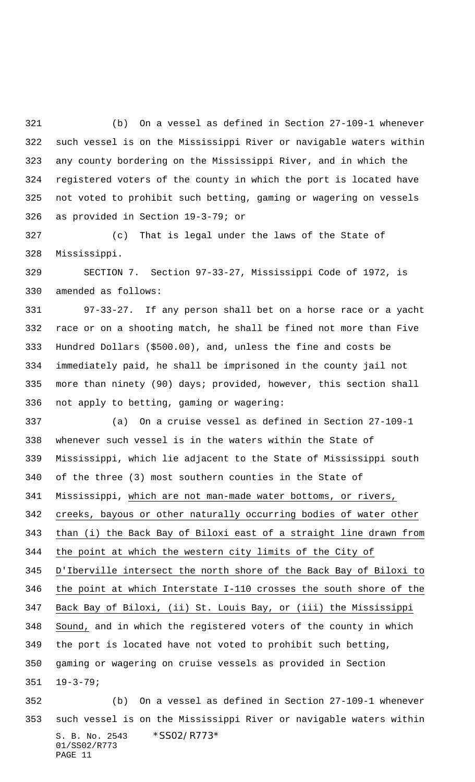(b) On a vessel as defined in Section 27-109-1 whenever such vessel is on the Mississippi River or navigable waters within any county bordering on the Mississippi River, and in which the registered voters of the county in which the port is located have not voted to prohibit such betting, gaming or wagering on vessels as provided in Section 19-3-79; or

 (c) That is legal under the laws of the State of Mississippi.

 SECTION 7. Section 97-33-27, Mississippi Code of 1972, is amended as follows:

 97-33-27. If any person shall bet on a horse race or a yacht race or on a shooting match, he shall be fined not more than Five Hundred Dollars (\$500.00), and, unless the fine and costs be immediately paid, he shall be imprisoned in the county jail not more than ninety (90) days; provided, however, this section shall not apply to betting, gaming or wagering:

 (a) On a cruise vessel as defined in Section 27-109-1 whenever such vessel is in the waters within the State of Mississippi, which lie adjacent to the State of Mississippi south of the three (3) most southern counties in the State of Mississippi, which are not man-made water bottoms, or rivers, creeks, bayous or other naturally occurring bodies of water other than (i) the Back Bay of Biloxi east of a straight line drawn from the point at which the western city limits of the City of D'Iberville intersect the north shore of the Back Bay of Biloxi to the point at which Interstate I-110 crosses the south shore of the Back Bay of Biloxi, (ii) St. Louis Bay, or (iii) the Mississippi Sound, and in which the registered voters of the county in which the port is located have not voted to prohibit such betting, gaming or wagering on cruise vessels as provided in Section 19-3-79; (b) On a vessel as defined in Section 27-109-1 whenever

S. B. No. 2543 \* SS02/R773\* 01/SS02/R773 PAGE 11 such vessel is on the Mississippi River or navigable waters within